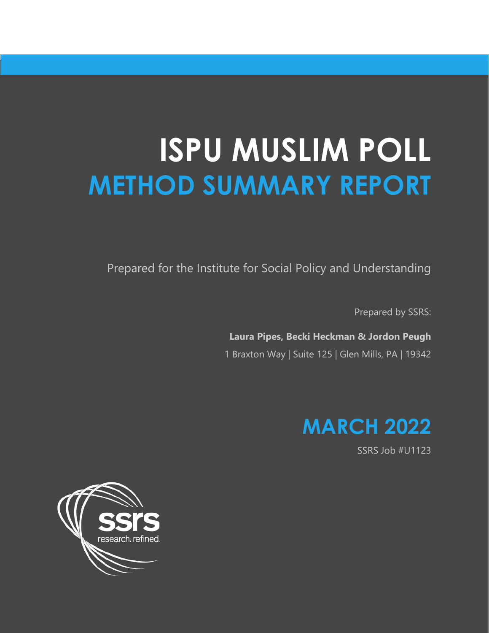# **ISPU MUSLIM POLL METHOD SUMMARY REPORT**

Prepared for the Institute for Social Policy and Understanding

Prepared by SSRS:

**Laura Pipes, Becki Heckman & Jordon Peugh** 1 Braxton Way | Suite 125 | Glen Mills, PA | 19342



SSRS Job #U1123

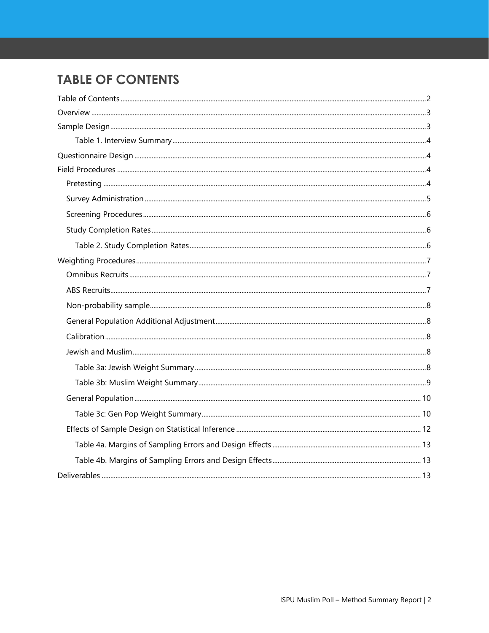# <span id="page-1-0"></span>**TABLE OF CONTENTS**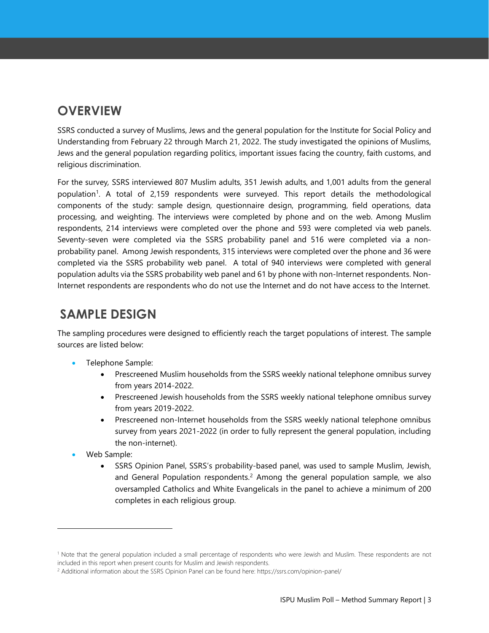# <span id="page-2-0"></span>**OVERVIEW**

SSRS conducted a survey of Muslims, Jews and the general population for the Institute for Social Policy and Understanding from February 22 through March 21, 2022. The study investigated the opinions of Muslims, Jews and the general population regarding politics, important issues facing the country, faith customs, and religious discrimination.

For the survey*,* SSRS interviewed 807 Muslim adults, 351 Jewish adults, and 1,001 adults from the general population<sup>1</sup>. A total of 2,159 respondents were surveyed. This report details the methodological components of the study: sample design, questionnaire design, programming, field operations, data processing, and weighting. The interviews were completed by phone and on the web. Among Muslim respondents, 214 interviews were completed over the phone and 593 were completed via web panels. Seventy-seven were completed via the SSRS probability panel and 516 were completed via a nonprobability panel. Among Jewish respondents, 315 interviews were completed over the phone and 36 were completed via the SSRS probability web panel. A total of 940 interviews were completed with general population adults via the SSRS probability web panel and 61 by phone with non-Internet respondents. Non-Internet respondents are respondents who do not use the Internet and do not have access to the Internet.

## <span id="page-2-1"></span>**SAMPLE DESIGN**

The sampling procedures were designed to efficiently reach the target populations of interest. The sample sources are listed below:

- Telephone Sample:
	- Prescreened Muslim households from the SSRS weekly national telephone omnibus survey from years 2014-2022.
	- Prescreened Jewish households from the SSRS weekly national telephone omnibus survey from years 2019-2022.
	- Prescreened non-Internet households from the SSRS weekly national telephone omnibus survey from years 2021-2022 (in order to fully represent the general population, including the non-internet).
- Web Sample:
	- SSRS Opinion Panel, SSRS's probability-based panel, was used to sample Muslim, Jewish, and General Population respondents.<sup>2</sup> Among the general population sample, we also oversampled Catholics and White Evangelicals in the panel to achieve a minimum of 200 completes in each religious group.

<sup>1</sup> Note that the general population included a small percentage of respondents who were Jewish and Muslim. These respondents are not included in this report when present counts for Muslim and Jewish respondents.

<sup>&</sup>lt;sup>2</sup> Additional information about the SSRS Opinion Panel can be found here: https://ssrs.com/opinion-panel/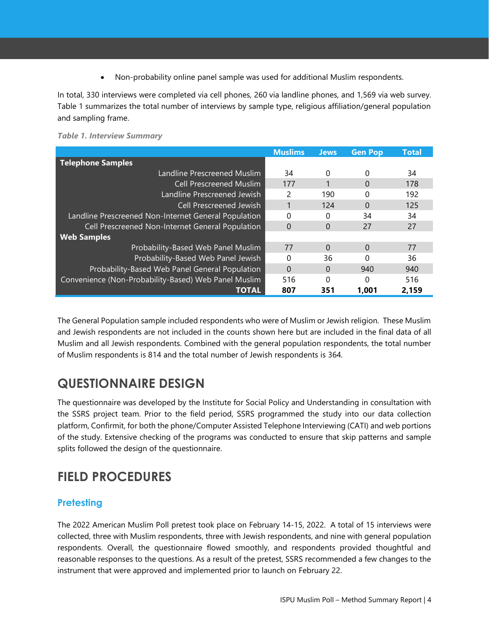• Non-probability online panel sample was used for additional Muslim respondents.

In total, 330 interviews were completed via cell phones, 260 via landline phones, and 1,569 via web survey. Table 1 summarizes the total number of interviews by sample type, religious affiliation/general population and sampling frame.

<span id="page-3-0"></span>

|                                                      | <b>Muslims</b> | <b>Jews</b> | <b>Gen Pop</b> | <b>Total</b> |
|------------------------------------------------------|----------------|-------------|----------------|--------------|
| <b>Telephone Samples</b>                             |                |             |                |              |
| Landline Prescreened Muslim                          | 34             | $\Omega$    | 0              | 34           |
| <b>Cell Prescreened Muslim</b>                       | 177            |             | 0              | 178          |
| Landline Prescreened Jewish                          | 2              | 190         | 0              | 192          |
| Cell Prescreened Jewish                              |                | 124         | $\Omega$       | 125          |
| Landline Prescreened Non-Internet General Population | 0              | 0           | 34             | 34           |
| Cell Prescreened Non-Internet General Population     | 0              | $\Omega$    | 27             | 27           |
| <b>Web Samples</b>                                   |                |             |                |              |
| Probability-Based Web Panel Muslim                   | 77             | $\Omega$    | $\Omega$       | 77           |
| Probability-Based Web Panel Jewish                   | 0              | 36          | 0              | 36           |
| Probability-Based Web Panel General Population       | 0              | $\Omega$    | 940            | 940          |
| Convenience (Non-Probability-Based) Web Panel Muslim | 516            | 0           | 0              | 516          |
| <b>TOTAL</b>                                         | 807            | 351         | 1.001          | 2.159        |

The General Population sample included respondents who were of Muslim or Jewish religion. These Muslim and Jewish respondents are not included in the counts shown here but are included in the final data of all Muslim and all Jewish respondents. Combined with the general population respondents, the total number of Muslim respondents is 814 and the total number of Jewish respondents is 364.

## <span id="page-3-1"></span>**QUESTIONNAIRE DESIGN**

The questionnaire was developed by the Institute for Social Policy and Understanding in consultation with the SSRS project team. Prior to the field period, SSRS programmed the study into our data collection platform, Confirmit, for both the phone/Computer Assisted Telephone Interviewing (CATI) and web portions of the study. Extensive checking of the programs was conducted to ensure that skip patterns and sample splits followed the design of the questionnaire.

## <span id="page-3-2"></span>**FIELD PROCEDURES**

#### <span id="page-3-3"></span>**Pretesting**

The 2022 American Muslim Poll pretest took place on February 14-15, 2022. A total of 15 interviews were collected, three with Muslim respondents, three with Jewish respondents, and nine with general population respondents. Overall, the questionnaire flowed smoothly, and respondents provided thoughtful and reasonable responses to the questions. As a result of the pretest, SSRS recommended a few changes to the instrument that were approved and implemented prior to launch on February 22.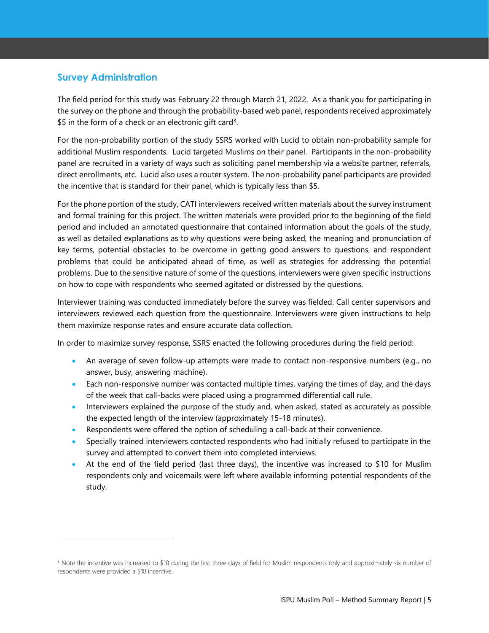#### <span id="page-4-0"></span>**Survey Administration**

The field period for this study was February 22 through March 21, 2022. As a thank you for participating in the survey on the phone and through the probability-based web panel, respondents received approximately \$5 in the form of a check or an electronic gift card<sup>3</sup>.

For the non-probability portion of the study SSRS worked with Lucid to obtain non-probability sample for additional Muslim respondents. Lucid targeted Muslims on their panel. Participants in the non-probability panel are recruited in a variety of ways such as soliciting panel membership via a website partner, referrals, direct enrollments, etc. Lucid also uses a router system. The non-probability panel participants are provided the incentive that is standard for their panel, which is typically less than \$5.

For the phone portion of the study, CATI interviewers received written materials about the survey instrument and formal training for this project. The written materials were provided prior to the beginning of the field period and included an annotated questionnaire that contained information about the goals of the study, as well as detailed explanations as to why questions were being asked, the meaning and pronunciation of key terms, potential obstacles to be overcome in getting good answers to questions, and respondent problems that could be anticipated ahead of time, as well as strategies for addressing the potential problems. Due to the sensitive nature of some of the questions, interviewers were given specific instructions on how to cope with respondents who seemed agitated or distressed by the questions.

Interviewer training was conducted immediately before the survey was fielded. Call center supervisors and interviewers reviewed each question from the questionnaire. Interviewers were given instructions to help them maximize response rates and ensure accurate data collection.

In order to maximize survey response, SSRS enacted the following procedures during the field period:

- An average of seven follow-up attempts were made to contact non-responsive numbers (e.g., no answer, busy, answering machine).
- Each non-responsive number was contacted multiple times, varying the times of day, and the days of the week that call-backs were placed using a programmed differential call rule.
- Interviewers explained the purpose of the study and, when asked, stated as accurately as possible the expected length of the interview (approximately 15-18 minutes).
- Respondents were offered the option of scheduling a call-back at their convenience.
- Specially trained interviewers contacted respondents who had initially refused to participate in the survey and attempted to convert them into completed interviews.
- At the end of the field period (last three days), the incentive was increased to \$10 for Muslim respondents only and voicemails were left where available informing potential respondents of the study.

<sup>&</sup>lt;sup>3</sup> Note the incentive was increased to \$10 during the last three days of field for Muslim respondents only and approximately six number of respondents were provided a \$10 incentive.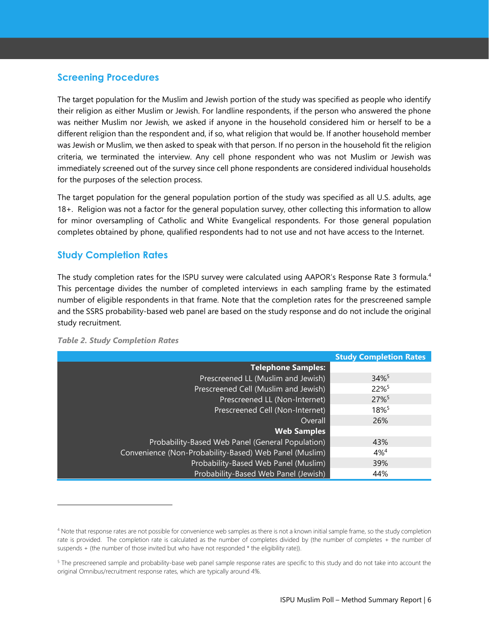#### <span id="page-5-0"></span>**Screening Procedures**

The target population for the Muslim and Jewish portion of the study was specified as people who identify their religion as either Muslim or Jewish. For landline respondents, if the person who answered the phone was neither Muslim nor Jewish, we asked if anyone in the household considered him or herself to be a different religion than the respondent and, if so, what religion that would be. If another household member was Jewish or Muslim, we then asked to speak with that person. If no person in the household fit the religion criteria, we terminated the interview. Any cell phone respondent who was not Muslim or Jewish was immediately screened out of the survey since cell phone respondents are considered individual households for the purposes of the selection process.

The target population for the general population portion of the study was specified as all U.S. adults, age 18+. Religion was not a factor for the general population survey, other collecting this information to allow for minor oversampling of Catholic and White Evangelical respondents. For those general population completes obtained by phone, qualified respondents had to not use and not have access to the Internet.

#### <span id="page-5-1"></span>**Study Completion Rates**

The study completion rates for the ISPU survey were calculated using AAPOR's Response Rate 3 formula.<sup>4</sup> This percentage divides the number of completed interviews in each sampling frame by the estimated number of eligible respondents in that frame. Note that the completion rates for the prescreened sample and the SSRS probability-based web panel are based on the study response and do not include the original study recruitment.

|                                                        | <b>Study Completion Rates</b> |
|--------------------------------------------------------|-------------------------------|
| <b>Telephone Samples:</b>                              |                               |
| Prescreened LL (Muslim and Jewish)                     | 34%                           |
| Prescreened Cell (Muslim and Jewish)                   | 22%                           |
| Prescreened LL (Non-Internet)                          | 27%                           |
| Prescreened Cell (Non-Internet)                        | 18%5                          |
| <b>Overall</b>                                         | 26%                           |
| <b>Web Samples</b>                                     |                               |
| Probability-Based Web Panel (General Population)       | 43%                           |
| Convenience (Non-Probability-Based) Web Panel (Muslim) | $4%^{4}$                      |
| Probability-Based Web Panel (Muslim)                   | 39%                           |
| Probability-Based Web Panel (Jewish)                   | 44%                           |

<span id="page-5-2"></span>*Table 2. Study Completion Rates*

<sup>4</sup> Note that response rates are not possible for convenience web samples as there is not a known initial sample frame, so the study completion rate is provided. The completion rate is calculated as the number of completes divided by (the number of completes + the number of suspends + (the number of those invited but who have not responded \* the eligibility rate)).

<sup>&</sup>lt;sup>5</sup> The prescreened sample and probability-base web panel sample response rates are specific to this study and do not take into account the original Omnibus/recruitment response rates, which are typically around 4%.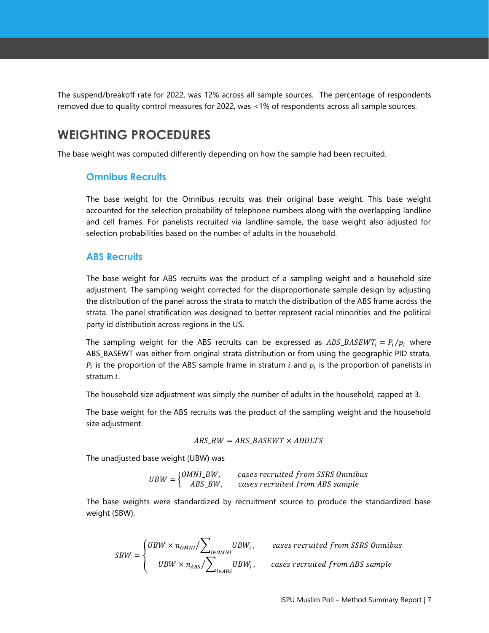The suspend/breakoff rate for 2022, was 12% across all sample sources. The percentage of respondents removed due to quality control measures for 2022, was <1% of respondents across all sample sources.

## <span id="page-6-0"></span>**WEIGHTING PROCEDURES**

<span id="page-6-1"></span>The base weight was computed differently depending on how the sample had been recruited.

#### **Omnibus Recruits**

The base weight for the Omnibus recruits was their original base weight. This base weight accounted for the selection probability of telephone numbers along with the overlapping landline and cell frames. For panelists recruited via landline sample, the base weight also adjusted for selection probabilities based on the number of adults in the household.

#### <span id="page-6-2"></span>**ABS Recruits**

The base weight for ABS recruits was the product of a sampling weight and a household size adjustment. The sampling weight corrected for the disproportionate sample design by adjusting the distribution of the panel across the strata to match the distribution of the ABS frame across the strata. The panel stratification was designed to better represent racial minorities and the political party id distribution across regions in the US.

The sampling weight for the ABS recruits can be expressed as  $ABS\_BASEWT_i = P_i/p_i$  where ABS\_BASEWT was either from original strata distribution or from using the geographic PID strata.  $P_i$  is the proportion of the ABS sample frame in stratum  $i$  and  $p_i$  is the proportion of panelists in stratum *i*.

The household size adjustment was simply the number of adults in the household, capped at 3.

The base weight for the ABS recruits was the product of the sampling weight and the household size adjustment.

$$
ABS\_BW = ABS\_BASEWT \times ADULTS
$$

The unadjusted base weight (UBW) was

$$
UBW = \begin{cases} 0MNI_BW, & \text{cases recruited from SSRS Omnibus} \\ ABS_BW, & \text{cases recruited from ABS sample} \end{cases}
$$

The base weights were standardized by recruitment source to produce the standardized base weight (SBW).

$$
SBW = \begin{cases} UBW \times n_{OMNI} / \sum_{i \in OMNI} UBW_i \,, \\ UBW \times n_{ABS} / \sum_{i \in ABS} UBW_i \,, \end{cases}
$$

cases recruited from SSRS Omnibus

cases recruited from ABS sample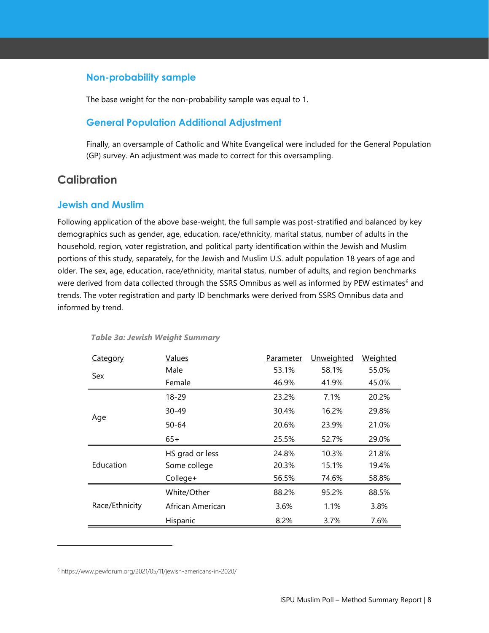#### <span id="page-7-0"></span>**Non-probability sample**

The base weight for the non-probability sample was equal to 1.

#### <span id="page-7-1"></span>**General Population Additional Adjustment**

Finally, an oversample of Catholic and White Evangelical were included for the General Population (GP) survey. An adjustment was made to correct for this oversampling.

#### <span id="page-7-2"></span>**Calibration**

#### <span id="page-7-3"></span>**Jewish and Muslim**

Following application of the above base-weight, the full sample was post-stratified and balanced by key demographics such as gender, age, education, race/ethnicity, marital status, number of adults in the household, region, voter registration, and political party identification within the Jewish and Muslim portions of this study, separately, for the Jewish and Muslim U.S. adult population 18 years of age and older. The sex, age, education, race/ethnicity, marital status, number of adults, and region benchmarks were derived from data collected through the SSRS Omnibus as well as informed by PEW estimates<sup>6</sup> and trends. The voter registration and party ID benchmarks were derived from SSRS Omnibus data and informed by trend.

| Category       | Values           | Parameter | Unweighted | <b>Weighted</b> |
|----------------|------------------|-----------|------------|-----------------|
| Sex            | Male             | 53.1%     | 58.1%      | 55.0%           |
|                | Female           | 46.9%     | 41.9%      | 45.0%           |
|                | 18-29            | 23.2%     | 7.1%       | 20.2%           |
| Age            | $30 - 49$        | 30.4%     | 16.2%      | 29.8%           |
|                | $50 - 64$        | 20.6%     | 23.9%      | 21.0%           |
|                | $65+$            | 25.5%     | 52.7%      | 29.0%           |
|                | HS grad or less  | 24.8%     | 10.3%      | 21.8%           |
| Education      | Some college     | 20.3%     | 15.1%      | 19.4%           |
|                | College+         | 56.5%     | 74.6%      | 58.8%           |
|                | White/Other      | 88.2%     | 95.2%      | 88.5%           |
| Race/Ethnicity | African American | 3.6%      | 1.1%       | 3.8%            |
|                | Hispanic         | 8.2%      | 3.7%       | 7.6%            |

#### <span id="page-7-4"></span>*Table 3a: Jewish Weight Summary*

<sup>6</sup> https://www.pewforum.org/2021/05/11/jewish-americans-in-2020/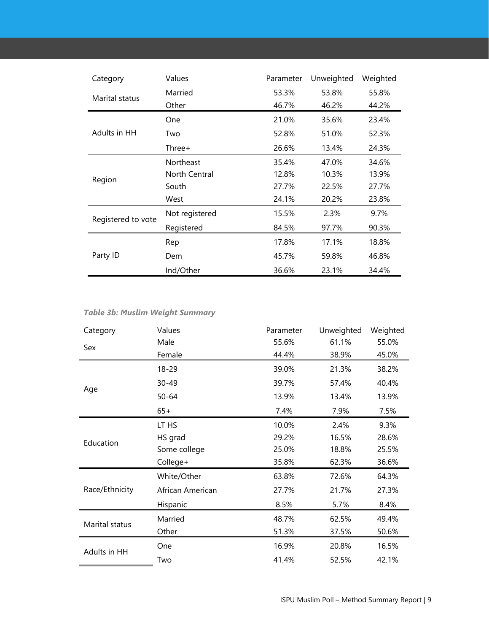| <b>Category</b>    | <b>Values</b>    | Parameter | Unweighted | Weighted |
|--------------------|------------------|-----------|------------|----------|
|                    | Married          | 53.3%     | 53.8%      | 55.8%    |
| Marital status     | Other            | 46.7%     | 46.2%      | 44.2%    |
|                    | One              | 21.0%     | 35.6%      | 23.4%    |
| Adults in HH       | Two              | 52.8%     | 51.0%      | 52.3%    |
|                    | Three+           | 26.6%     | 13.4%      | 24.3%    |
|                    | <b>Northeast</b> | 35.4%     | 47.0%      | 34.6%    |
| Region             | North Central    | 12.8%     | 10.3%      | 13.9%    |
|                    | South            | 27.7%     | 22.5%      | 27.7%    |
|                    | West             | 24.1%     | 20.2%      | 23.8%    |
| Registered to vote | Not registered   | 15.5%     | 2.3%       | 9.7%     |
|                    | Registered       | 84.5%     | 97.7%      | 90.3%    |
| Party ID           | Rep              | 17.8%     | 17.1%      | 18.8%    |
|                    | Dem              | 45.7%     | 59.8%      | 46.8%    |
|                    | Ind/Other        | 36.6%     | 23.1%      | 34.4%    |

#### <span id="page-8-0"></span>*Table 3b: Muslim Weight Summary*

| Category       | <b>Values</b>    | Parameter | Unweighted | Weighted |
|----------------|------------------|-----------|------------|----------|
|                | Male             | 55.6%     | 61.1%      | 55.0%    |
| Sex            | Female           | 44.4%     | 38.9%      | 45.0%    |
|                | 18-29            | 39.0%     | 21.3%      | 38.2%    |
| Age            | $30 - 49$        | 39.7%     | 57.4%      | 40.4%    |
|                | $50 - 64$        | 13.9%     | 13.4%      | 13.9%    |
|                | $65+$            | 7.4%      | 7.9%       | 7.5%     |
|                | LT HS            | 10.0%     | 2.4%       | 9.3%     |
| Education      | HS grad          | 29.2%     | 16.5%      | 28.6%    |
|                | Some college     | 25.0%     | 18.8%      | 25.5%    |
|                | College+         | 35.8%     | 62.3%      | 36.6%    |
|                | White/Other      | 63.8%     | 72.6%      | 64.3%    |
| Race/Ethnicity | African American | 27.7%     | 21.7%      | 27.3%    |
|                | Hispanic         | 8.5%      | 5.7%       | 8.4%     |
| Marital status | Married          | 48.7%     | 62.5%      | 49.4%    |
|                | Other            | 51.3%     | 37.5%      | 50.6%    |
| Adults in HH   | One              | 16.9%     | 20.8%      | 16.5%    |
|                | Two              | 41.4%     | 52.5%      | 42.1%    |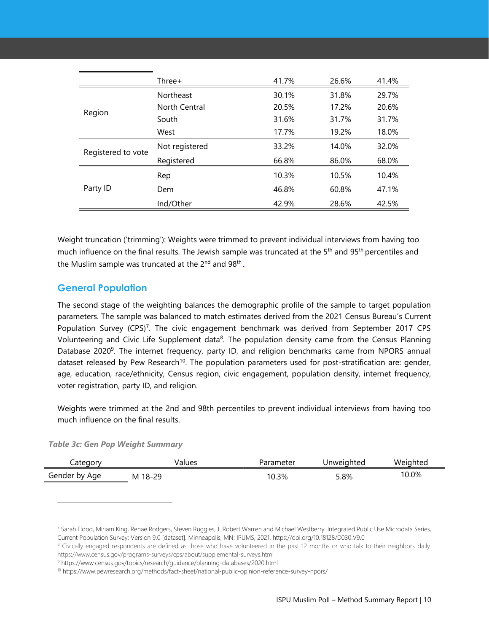|                    | $Three+$         | 41.7% | 26.6% | 41.4% |
|--------------------|------------------|-------|-------|-------|
|                    | <b>Northeast</b> | 30.1% | 31.8% | 29.7% |
|                    | North Central    | 20.5% | 17.2% | 20.6% |
| Region             | South            | 31.6% | 31.7% | 31.7% |
|                    | West             | 17.7% | 19.2% | 18.0% |
| Registered to vote | Not registered   | 33.2% | 14.0% | 32.0% |
|                    | Registered       | 66.8% | 86.0% | 68.0% |
| Party ID           | Rep              | 10.3% | 10.5% | 10.4% |
|                    | Dem              | 46.8% | 60.8% | 47.1% |
|                    | Ind/Other        | 42.9% | 28.6% | 42.5% |

Weight truncation ('trimming'): Weights were trimmed to prevent individual interviews from having too much influence on the final results. The Jewish sample was truncated at the 5<sup>th</sup> and 95<sup>th</sup> percentiles and the Muslim sample was truncated at the  $2^{nd}$  and  $98^{th}$ .

#### <span id="page-9-0"></span>**General Population**

The second stage of the weighting balances the demographic profile of the sample to target population parameters. The sample was balanced to match estimates derived from the 2021 Census Bureau's Current Population Survey (CPS)<sup>7</sup>. The civic engagement benchmark was derived from September 2017 CPS Volunteering and Civic Life Supplement data<sup>8</sup>. The population density came from the Census Planning Database 2020<sup>9</sup>. The internet frequency, party ID, and religion benchmarks came from NPORS annual dataset released by Pew Research<sup>10</sup>. The population parameters used for post-stratification are: gender, age, education, race/ethnicity, Census region, civic engagement, population density, internet frequency, voter registration, party ID, and religion.

Weights were trimmed at the 2nd and 98th percentiles to prevent individual interviews from having too much influence on the final results.

<span id="page-9-1"></span>

|  |  |  |  |  | <b>Table 3c: Gen Pop Weight Summary</b> |
|--|--|--|--|--|-----------------------------------------|
|--|--|--|--|--|-----------------------------------------|

| cateqorv      | Values  | Parameter | Jnweighted | Weiahted |
|---------------|---------|-----------|------------|----------|
| Gender by Age | M 18-29 | 10.3%     | 5.8%       | 10.0%    |

<sup>7</sup> Sarah Flood, Miriam King, Renae Rodgers, Steven Ruggles, J. Robert Warren and Michael Westberry. Integrated Public Use Microdata Series, Current Population Survey: Version 9.0 [dataset]. Minneapolis, MN: IPUMS, 2021. https://doi.org/10.18128/D030.V9.0

<sup>&</sup>lt;sup>8</sup> Civically engaged respondents are defined as those who have volunteered in the past 12 months or who talk to their neighbors daily. https://www.census.gov/programs-surveys/cps/about/supplemental-surveys.html

<sup>9</sup> https://www.census.gov/topics/research/guidance/planning-databases/2020.html

<sup>10</sup> https://www.pewresearch.org/methods/fact-sheet/national-public-opinion-reference-survey-npors/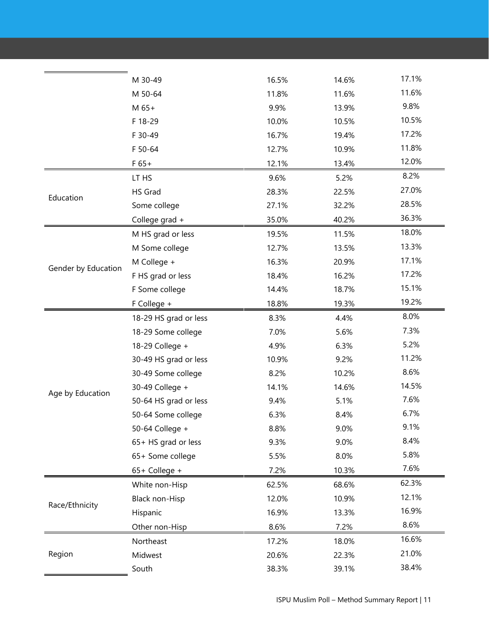|                     | M 30-49               | 16.5% | 14.6% | 17.1% |
|---------------------|-----------------------|-------|-------|-------|
|                     | M 50-64               | 11.8% | 11.6% | 11.6% |
|                     | M 65+                 | 9.9%  | 13.9% | 9.8%  |
|                     | F 18-29               | 10.0% | 10.5% | 10.5% |
|                     | F 30-49               | 16.7% | 19.4% | 17.2% |
|                     | F 50-64               | 12.7% | 10.9% | 11.8% |
|                     | $F 65+$               | 12.1% | 13.4% | 12.0% |
|                     | LT HS                 | 9.6%  | 5.2%  | 8.2%  |
| Education           | HS Grad               | 28.3% | 22.5% | 27.0% |
|                     | Some college          | 27.1% | 32.2% | 28.5% |
|                     | College grad +        | 35.0% | 40.2% | 36.3% |
|                     | M HS grad or less     | 19.5% | 11.5% | 18.0% |
|                     | M Some college        | 12.7% | 13.5% | 13.3% |
|                     | M College +           | 16.3% | 20.9% | 17.1% |
| Gender by Education | F HS grad or less     | 18.4% | 16.2% | 17.2% |
|                     | F Some college        | 14.4% | 18.7% | 15.1% |
|                     | F College +           | 18.8% | 19.3% | 19.2% |
|                     | 18-29 HS grad or less | 8.3%  | 4.4%  | 8.0%  |
|                     | 18-29 Some college    | 7.0%  | 5.6%  | 7.3%  |
|                     | 18-29 College +       | 4.9%  | 6.3%  | 5.2%  |
|                     | 30-49 HS grad or less | 10.9% | 9.2%  | 11.2% |
|                     | 30-49 Some college    | 8.2%  | 10.2% | 8.6%  |
| Age by Education    | 30-49 College +       | 14.1% | 14.6% | 14.5% |
|                     | 50-64 HS grad or less | 9.4%  | 5.1%  | 7.6%  |
|                     | 50-64 Some college    | 6.3%  | 8.4%  | 6.7%  |
|                     | 50-64 College +       | 8.8%  | 9.0%  | 9.1%  |
|                     | 65+ HS grad or less   | 9.3%  | 9.0%  | 8.4%  |
|                     | 65+ Some college      | 5.5%  | 8.0%  | 5.8%  |
|                     | 65+ College +         | 7.2%  | 10.3% | 7.6%  |
|                     | White non-Hisp        | 62.5% | 68.6% | 62.3% |
| Race/Ethnicity      | Black non-Hisp        | 12.0% | 10.9% | 12.1% |
|                     | Hispanic              | 16.9% | 13.3% | 16.9% |
|                     | Other non-Hisp        | 8.6%  | 7.2%  | 8.6%  |
|                     | Northeast             | 17.2% | 18.0% | 16.6% |
| Region              | Midwest               | 20.6% | 22.3% | 21.0% |
|                     | South                 | 38.3% | 39.1% | 38.4% |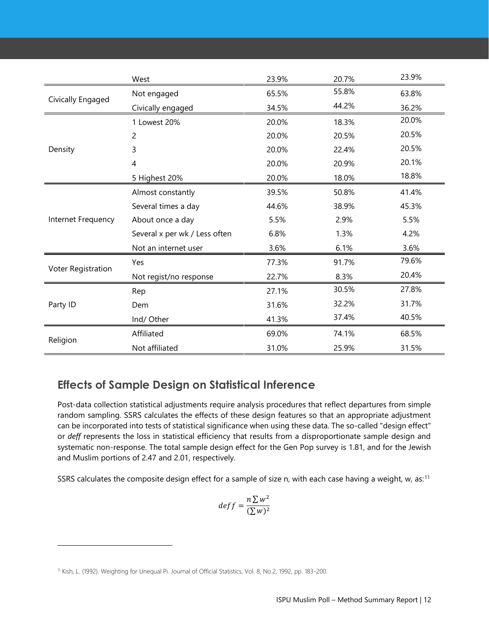|                    | West                          | 23.9% | 20.7% | 23.9% |
|--------------------|-------------------------------|-------|-------|-------|
|                    | Not engaged                   | 65.5% | 55.8% | 63.8% |
| Civically Engaged  | Civically engaged             | 34.5% | 44.2% | 36.2% |
|                    | 1 Lowest 20%                  | 20.0% | 18.3% | 20.0% |
|                    | $\overline{c}$                | 20.0% | 20.5% | 20.5% |
| Density            | 3                             | 20.0% | 22.4% | 20.5% |
|                    | 4                             | 20.0% | 20.9% | 20.1% |
|                    | 5 Highest 20%                 | 20.0% | 18.0% | 18.8% |
|                    | Almost constantly             | 39.5% | 50.8% | 41.4% |
|                    | Several times a day           | 44.6% | 38.9% | 45.3% |
| Internet Frequency | About once a day              | 5.5%  | 2.9%  | 5.5%  |
|                    | Several x per wk / Less often | 6.8%  | 1.3%  | 4.2%  |
|                    | Not an internet user          | 3.6%  | 6.1%  | 3.6%  |
|                    | Yes                           | 77.3% | 91.7% | 79.6% |
| Voter Registration | Not regist/no response        | 22.7% | 8.3%  | 20.4% |
| Party ID           | Rep                           | 27.1% | 30.5% | 27.8% |
|                    | Dem                           | 31.6% | 32.2% | 31.7% |
|                    | Ind/Other                     | 41.3% | 37.4% | 40.5% |
|                    | Affiliated                    | 69.0% | 74.1% | 68.5% |
| Religion           | Not affiliated                | 31.0% | 25.9% | 31.5% |

## <span id="page-11-0"></span>**Effects of Sample Design on Statistical Inference**

Post-data collection statistical adjustments require analysis procedures that reflect departures from simple random sampling. SSRS calculates the effects of these design features so that an appropriate adjustment can be incorporated into tests of statistical significance when using these data. The so-called "design effect" or *deff* represents the loss in statistical efficiency that results from a disproportionate sample design and systematic non-response. The total sample design effect for the Gen Pop survey is 1.81, and for the Jewish and Muslim portions of 2.47 and 2.01, respectively.

SSRS calculates the composite design effect for a sample of size n, with each case having a weight, w, as:<sup>11</sup>

$$
deff = \frac{n \sum w^2}{(\sum w)^2}
$$

<sup>11</sup> Kish, L. (1992). Weighting for Unequal Pi. Journal of Official Statistics, Vol. 8, No.2, 1992, pp. 183-200.